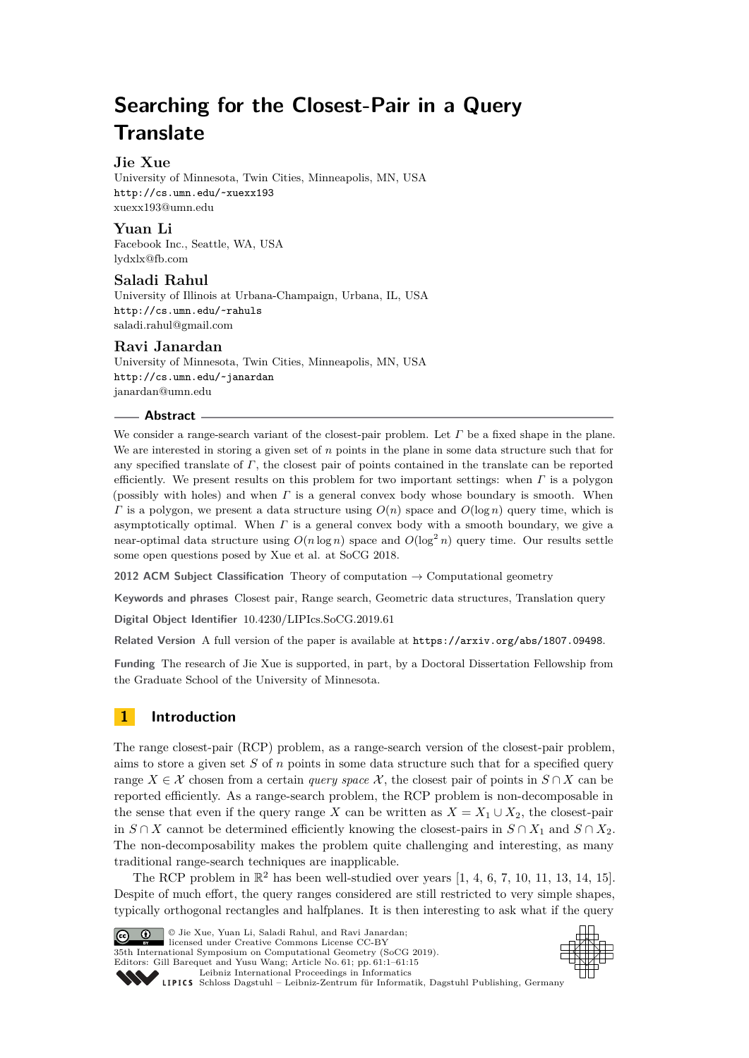# **Searching for the Closest-Pair in a Query Translate**

# **Jie Xue**

University of Minnesota, Twin Cities, Minneapolis, MN, USA <http://cs.umn.edu/~xuexx193> [xuexx193@umn.edu](mailto:xuexx193@umn.edu)

# **Yuan Li**

Facebook Inc., Seattle, WA, USA [lydxlx@fb.com](mailto:lydxlx@fb.com)

# **Saladi Rahul**

University of Illinois at Urbana-Champaign, Urbana, IL, USA <http://cs.umn.edu/~rahuls> [saladi.rahul@gmail.com](mailto:saladi.rahul@gmail.com)

# **Ravi Janardan**

University of Minnesota, Twin Cities, Minneapolis, MN, USA <http://cs.umn.edu/~janardan> [janardan@umn.edu](mailto:janardan@umn.edu)

### **Abstract**

We consider a range-search variant of the closest-pair problem. Let *Γ* be a fixed shape in the plane. We are interested in storing a given set of *n* points in the plane in some data structure such that for any specified translate of *Γ*, the closest pair of points contained in the translate can be reported efficiently. We present results on this problem for two important settings: when *Γ* is a polygon (possibly with holes) and when *Γ* is a general convex body whose boundary is smooth. When *Γ* is a polygon, we present a data structure using *O*(*n*) space and *O*(log *n*) query time, which is asymptotically optimal. When *Γ* is a general convex body with a smooth boundary, we give a near-optimal data structure using  $O(n \log n)$  space and  $O(\log^2 n)$  query time. Our results settle some open questions posed by Xue et al. at SoCG 2018.

**2012 ACM Subject Classification** Theory of computation → Computational geometry

**Keywords and phrases** Closest pair, Range search, Geometric data structures, Translation query

**Digital Object Identifier** [10.4230/LIPIcs.SoCG.2019.61](https://doi.org/10.4230/LIPIcs.SoCG.2019.61)

**Related Version** A full version of the paper is available at <https://arxiv.org/abs/1807.09498>.

**Funding** The research of Jie Xue is supported, in part, by a Doctoral Dissertation Fellowship from the Graduate School of the University of Minnesota.

# **1 Introduction**

The range closest-pair (RCP) problem, as a range-search version of the closest-pair problem, aims to store a given set *S* of *n* points in some data structure such that for a specified query range  $X \in \mathcal{X}$  chosen from a certain *query space*  $\mathcal{X}$ , the closest pair of points in  $S \cap X$  can be reported efficiently. As a range-search problem, the RCP problem is non-decomposable in the sense that even if the query range *X* can be written as  $X = X_1 \cup X_2$ , the closest-pair in *S* ∩ *X* cannot be determined efficiently knowing the closest-pairs in  $S ∩ X_1$  and  $S ∩ X_2$ . The non-decomposability makes the problem quite challenging and interesting, as many traditional range-search techniques are inapplicable.

The RCP problem in  $\mathbb{R}^2$  has been well-studied over years [\[1,](#page-13-0) [4,](#page-13-1) [6,](#page-13-2) [7,](#page-13-3) [10,](#page-13-4) [11,](#page-13-5) [13,](#page-14-0) [14,](#page-14-1) [15\]](#page-14-2). Despite of much effort, the query ranges considered are still restricted to very simple shapes, typically orthogonal rectangles and halfplanes. It is then interesting to ask what if the query



© Jie Xue, Yuan Li, Saladi Rahul, and Ravi Janardan;  $\boxed{6}$  0 licensed under Creative Commons License CC-BY 35th International Symposium on Computational Geometry (SoCG 2019). Editors: Gill Barequet and Yusu Wang; Article No. 61; pp. 61:1–61[:15](#page-14-3) [Leibniz International Proceedings in Informatics](https://www.dagstuhl.de/lipics/)



SCHLOSS Dagstuhl – Leibniz-Zentrum für Informatik, Dagstuhl Publishing, Germany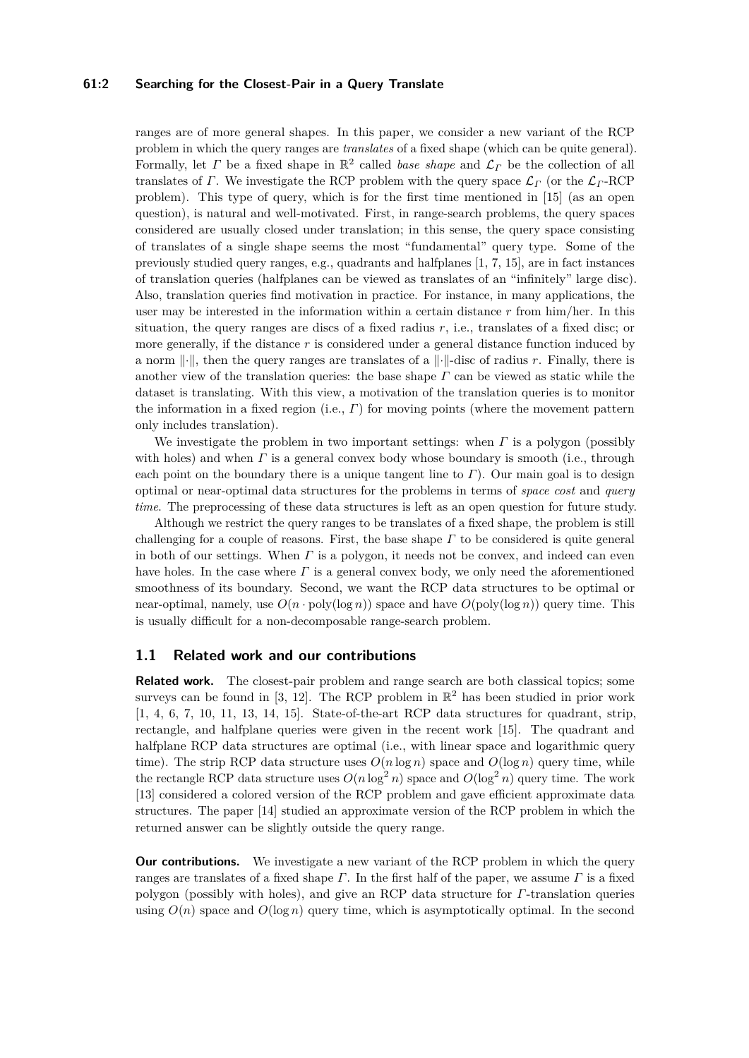### **61:2 Searching for the Closest-Pair in a Query Translate**

ranges are of more general shapes. In this paper, we consider a new variant of the RCP problem in which the query ranges are *translates* of a fixed shape (which can be quite general). Formally, let *Γ* be a fixed shape in  $\mathbb{R}^2$  called *base shape* and  $\mathcal{L}_\Gamma$  be the collection of all translates of *Γ*. We investigate the RCP problem with the query space  $\mathcal{L}_\Gamma$  (or the  $\mathcal{L}_\Gamma$ -RCP problem). This type of query, which is for the first time mentioned in [\[15\]](#page-14-2) (as an open question), is natural and well-motivated. First, in range-search problems, the query spaces considered are usually closed under translation; in this sense, the query space consisting of translates of a single shape seems the most "fundamental" query type. Some of the previously studied query ranges, e.g., quadrants and halfplanes [\[1,](#page-13-0) [7,](#page-13-3) [15\]](#page-14-2), are in fact instances of translation queries (halfplanes can be viewed as translates of an "infinitely" large disc). Also, translation queries find motivation in practice. For instance, in many applications, the user may be interested in the information within a certain distance *r* from him/her. In this situation, the query ranges are discs of a fixed radius *r*, i.e., translates of a fixed disc; or more generally, if the distance *r* is considered under a general distance function induced by a norm  $\lVert \cdot \rVert$ , then the query ranges are translates of a  $\lVert \cdot \rVert$ -disc of radius *r*. Finally, there is another view of the translation queries: the base shape *Γ* can be viewed as static while the dataset is translating. With this view, a motivation of the translation queries is to monitor the information in a fixed region (i.e., *Γ*) for moving points (where the movement pattern only includes translation).

We investigate the problem in two important settings: when *Γ* is a polygon (possibly with holes) and when *Γ* is a general convex body whose boundary is smooth (i.e., through each point on the boundary there is a unique tangent line to  $\Gamma$ ). Our main goal is to design optimal or near-optimal data structures for the problems in terms of *space cost* and *query time*. The preprocessing of these data structures is left as an open question for future study.

Although we restrict the query ranges to be translates of a fixed shape, the problem is still challenging for a couple of reasons. First, the base shape *Γ* to be considered is quite general in both of our settings. When *Γ* is a polygon, it needs not be convex, and indeed can even have holes. In the case where *Γ* is a general convex body, we only need the aforementioned smoothness of its boundary. Second, we want the RCP data structures to be optimal or near-optimal, namely, use  $O(n \cdot \text{poly}(\log n))$  space and have  $O(\text{poly}(\log n))$  query time. This is usually difficult for a non-decomposable range-search problem.

### **1.1 Related work and our contributions**

**Related work.** The closest-pair problem and range search are both classical topics; some surveys can be found in [\[3,](#page-13-6) [12\]](#page-13-7). The RCP problem in  $\mathbb{R}^2$  has been studied in prior work [\[1,](#page-13-0) [4,](#page-13-1) [6,](#page-13-2) [7,](#page-13-3) [10,](#page-13-4) [11,](#page-13-5) [13,](#page-14-0) [14,](#page-14-1) [15\]](#page-14-2). State-of-the-art RCP data structures for quadrant, strip, rectangle, and halfplane queries were given in the recent work [\[15\]](#page-14-2). The quadrant and halfplane RCP data structures are optimal (i.e., with linear space and logarithmic query time). The strip RCP data structure uses  $O(n \log n)$  space and  $O(\log n)$  query time, while the rectangle RCP data structure uses  $O(n \log^2 n)$  space and  $O(\log^2 n)$  query time. The work [\[13\]](#page-14-0) considered a colored version of the RCP problem and gave efficient approximate data structures. The paper [\[14\]](#page-14-1) studied an approximate version of the RCP problem in which the returned answer can be slightly outside the query range.

**Our contributions.** We investigate a new variant of the RCP problem in which the query ranges are translates of a fixed shape *Γ*. In the first half of the paper, we assume *Γ* is a fixed polygon (possibly with holes), and give an RCP data structure for *Γ*-translation queries using  $O(n)$  space and  $O(\log n)$  query time, which is asymptotically optimal. In the second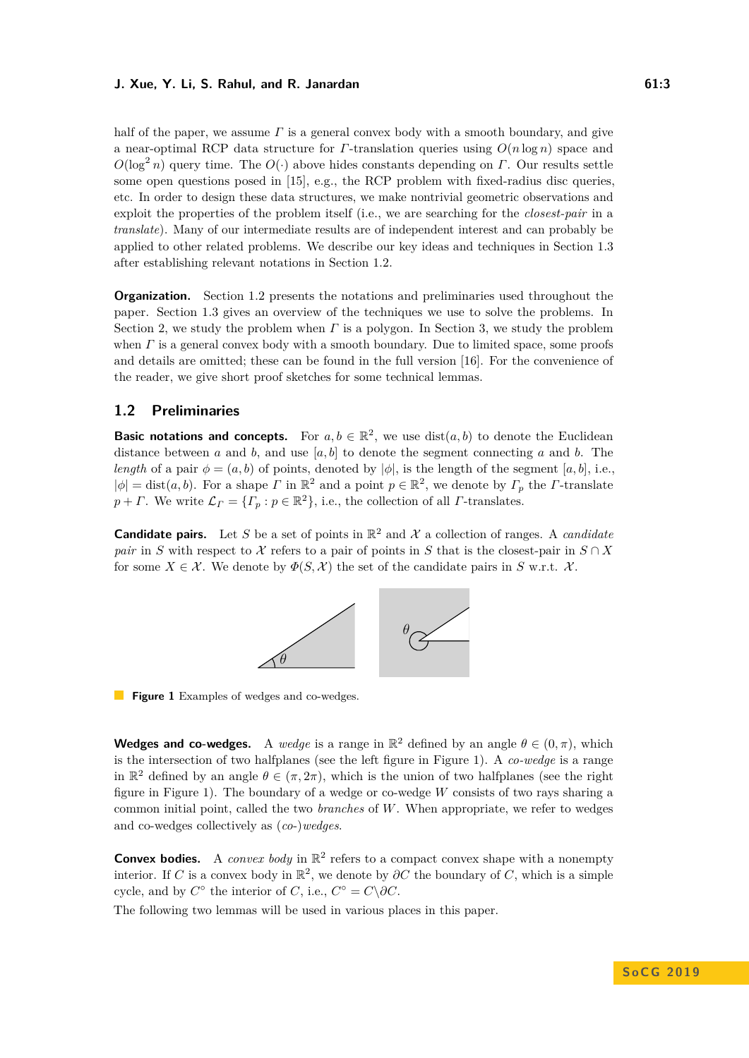half of the paper, we assume *Γ* is a general convex body with a smooth boundary, and give a near-optimal RCP data structure for *Γ*-translation queries using *O*(*n* log *n*) space and *O*(log<sup>2</sup> *n*) query time. The *O*(·) above hides constants depending on *Γ*. Our results settle some open questions posed in [\[15\]](#page-14-2), e.g., the RCP problem with fixed-radius disc queries, etc. In order to design these data structures, we make nontrivial geometric observations and exploit the properties of the problem itself (i.e., we are searching for the *closest-pair* in a *translate*). Many of our intermediate results are of independent interest and can probably be applied to other related problems. We describe our key ideas and techniques in Section [1.3](#page-3-0) after establishing relevant notations in Section [1.2.](#page-2-0)

**Organization.** Section [1.2](#page-2-0) presents the notations and preliminaries used throughout the paper. Section [1.3](#page-3-0) gives an overview of the techniques we use to solve the problems. In Section [2,](#page-3-1) we study the problem when *Γ* is a polygon. In Section [3,](#page-9-0) we study the problem when *Γ* is a general convex body with a smooth boundary. Due to limited space, some proofs and details are omitted; these can be found in the full version [\[16\]](#page-14-4). For the convenience of the reader, we give short proof sketches for some technical lemmas.

# <span id="page-2-0"></span>**1.2 Preliminaries**

**Basic notations and concepts.** For  $a, b \in \mathbb{R}^2$ , we use  $dist(a, b)$  to denote the Euclidean distance between *a* and *b*, and use  $[a, b]$  to denote the segment connecting *a* and *b*. The *length* of a pair  $\phi = (a, b)$  of points, denoted by  $|\phi|$ , is the length of the segment  $[a, b]$ , i.e.,  $|\phi|$  = dist(*a, b*). For a shape *Γ* in  $\mathbb{R}^2$  and a point  $p \in \mathbb{R}^2$ , we denote by  $\Gamma_p$  the *Γ*-translate  $p + \Gamma$ . We write  $\mathcal{L}_{\Gamma} = \{ \Gamma_p : p \in \mathbb{R}^2 \}$ , i.e., the collection of all *Γ*-translates.

<span id="page-2-1"></span>**Candidate pairs.** Let S be a set of points in  $\mathbb{R}^2$  and X a collection of ranges. A *candidate pair* in *S* with respect to X refers to a pair of points in *S* that is the closest-pair in  $S \cap X$ for some  $X \in \mathcal{X}$ . We denote by  $\Phi(S, \mathcal{X})$  the set of the candidate pairs in *S* w.r.t.  $\mathcal{X}$ .



**Figure 1** Examples of wedges and co-wedges.

**Wedges and co-wedges.** A *wedge* is a range in  $\mathbb{R}^2$  defined by an angle  $\theta \in (0, \pi)$ , which is the intersection of two halfplanes (see the left figure in Figure [1\)](#page-2-1). A *co-wedge* is a range in  $\mathbb{R}^2$  defined by an angle  $\theta \in (\pi, 2\pi)$ , which is the union of two halfplanes (see the right figure in Figure [1\)](#page-2-1). The boundary of a wedge or co-wedge *W* consists of two rays sharing a common initial point, called the two *branches* of *W*. When appropriate, we refer to wedges and co-wedges collectively as (*co*-)*wedges*.

**Convex bodies.** A *convex body* in  $\mathbb{R}^2$  refers to a compact convex shape with a nonempty interior. If *C* is a convex body in  $\mathbb{R}^2$ , we denote by  $\partial C$  the boundary of *C*, which is a simple cycle, and by  $C^{\circ}$  the interior of *C*, i.e.,  $C^{\circ} = C \setminus \partial C$ .

The following two lemmas will be used in various places in this paper.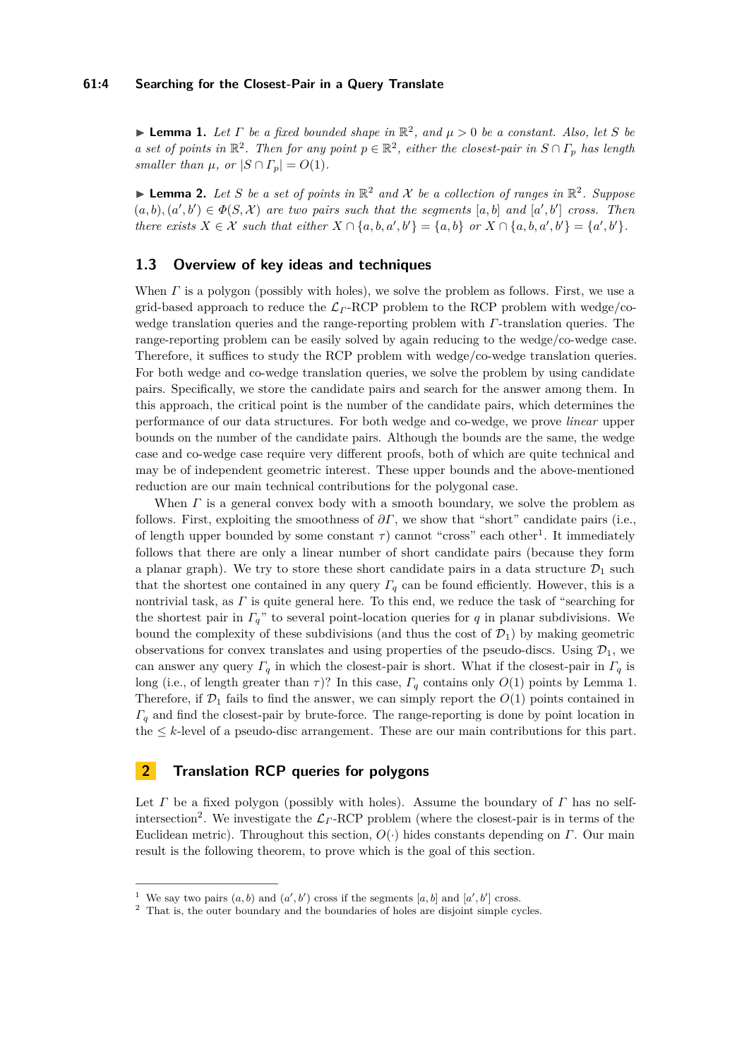<span id="page-3-3"></span>**Example 1.** Let  $\Gamma$  be a fixed bounded shape in  $\mathbb{R}^2$ , and  $\mu > 0$  be a constant. Also, let  $S$  be *a* set of points in  $\mathbb{R}^2$ . Then for any point  $p \in \mathbb{R}^2$ , either the closest-pair in  $S \cap \Gamma_p$  has length *smaller than*  $\mu$ *, or*  $|S \cap \Gamma_p| = O(1)$ *.* 

<span id="page-3-5"></span>**Lemma 2.** Let S be a set of points in  $\mathbb{R}^2$  and X be a collection of ranges in  $\mathbb{R}^2$ . Suppose  $(a, b), (a', b') \in \Phi(S, \mathcal{X})$  are two pairs such that the segments  $[a, b]$  and  $[a', b']$  cross. Then *there exists*  $X \in \mathcal{X}$  *such that either*  $X \cap \{a, b, a', b'\} = \{a, b\}$  *or*  $X \cap \{a, b, a', b'\} = \{a', b'\}.$ 

# <span id="page-3-0"></span>**1.3 Overview of key ideas and techniques**

When *Γ* is a polygon (possibly with holes), we solve the problem as follows. First, we use a grid-based approach to reduce the L*<sup>Γ</sup>* -RCP problem to the RCP problem with wedge/cowedge translation queries and the range-reporting problem with *Γ*-translation queries. The range-reporting problem can be easily solved by again reducing to the wedge/co-wedge case. Therefore, it suffices to study the RCP problem with wedge/co-wedge translation queries. For both wedge and co-wedge translation queries, we solve the problem by using candidate pairs. Specifically, we store the candidate pairs and search for the answer among them. In this approach, the critical point is the number of the candidate pairs, which determines the performance of our data structures. For both wedge and co-wedge, we prove *linear* upper bounds on the number of the candidate pairs. Although the bounds are the same, the wedge case and co-wedge case require very different proofs, both of which are quite technical and may be of independent geometric interest. These upper bounds and the above-mentioned reduction are our main technical contributions for the polygonal case.

When *Γ* is a general convex body with a smooth boundary, we solve the problem as follows. First, exploiting the smoothness of  $\partial \Gamma$ , we show that "short" candidate pairs (i.e., of length upper bounded by some constant  $\tau$ ) cannot "cross" each other<sup>[1](#page-3-2)</sup>. It immediately follows that there are only a linear number of short candidate pairs (because they form a planar graph). We try to store these short candidate pairs in a data structure  $\mathcal{D}_1$  such that the shortest one contained in any query  $\Gamma_q$  can be found efficiently. However, this is a nontrivial task, as *Γ* is quite general here. To this end, we reduce the task of "searching for the shortest pair in *Γq*" to several point-location queries for *q* in planar subdivisions. We bound the complexity of these subdivisions (and thus the cost of  $\mathcal{D}_1$ ) by making geometric observations for convex translates and using properties of the pseudo-discs. Using  $\mathcal{D}_1$ , we can answer any query  $\Gamma_q$  in which the closest-pair is short. What if the closest-pair in  $\Gamma_q$  is long (i.e., of length greater than  $\tau$ )? In this case,  $\Gamma_q$  contains only  $O(1)$  points by Lemma [1.](#page-3-3) Therefore, if  $\mathcal{D}_1$  fails to find the answer, we can simply report the  $O(1)$  points contained in *Γ<sup>q</sup>* and find the closest-pair by brute-force. The range-reporting is done by point location in the  $\leq k$ -level of a pseudo-disc arrangement. These are our main contributions for this part.

# <span id="page-3-1"></span>**2 Translation RCP queries for polygons**

Let *Γ* be a fixed polygon (possibly with holes). Assume the boundary of *Γ* has no self-intersection<sup>[2](#page-3-4)</sup>. We investigate the  $\mathcal{L}_\Gamma$ -RCP problem (where the closest-pair is in terms of the Euclidean metric). Throughout this section, *O*(·) hides constants depending on *Γ*. Our main result is the following theorem, to prove which is the goal of this section.

<span id="page-3-2"></span><sup>&</sup>lt;sup>1</sup> We say two pairs  $(a, b)$  and  $(a', b')$  cross if the segments  $[a, b]$  and  $[a', b']$  cross.

<span id="page-3-4"></span><sup>&</sup>lt;sup>2</sup> That is, the outer boundary and the boundaries of holes are disjoint simple cycles.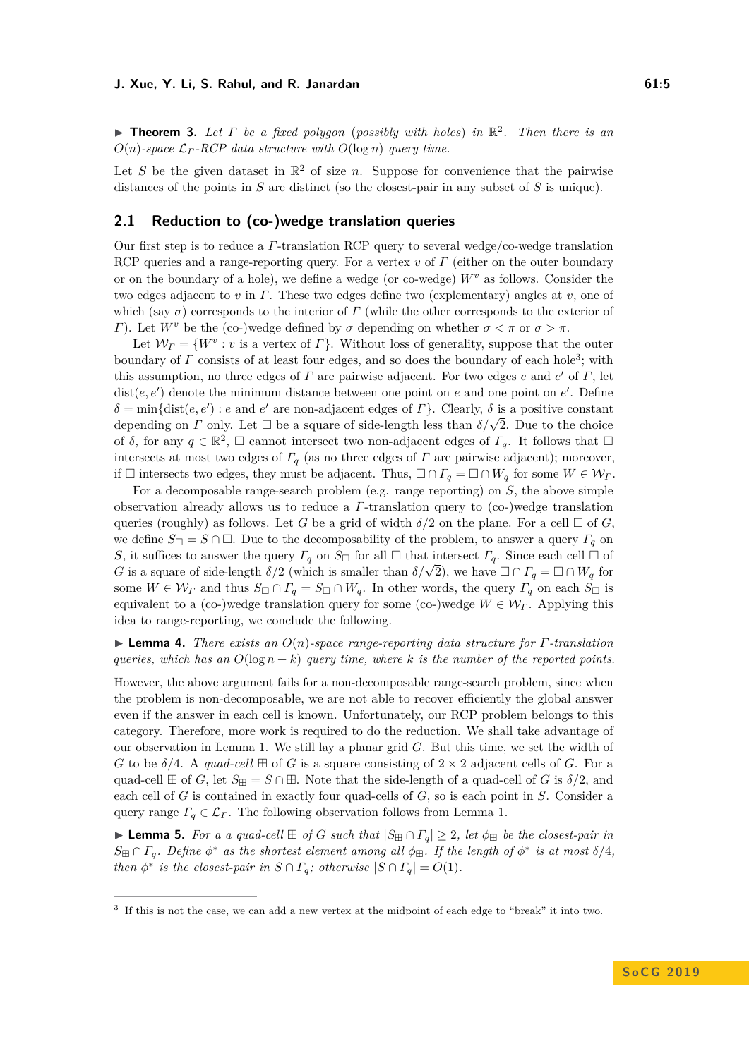<span id="page-4-3"></span>I **Theorem 3.** *Let Γ be a fixed polygon* (*possibly with holes*) *in* R 2 *. Then there is an*  $O(n)$ -space  $\mathcal{L}_\Gamma$ -RCP data structure with  $O(\log n)$  query time.

Let S be the given dataset in  $\mathbb{R}^2$  of size *n*. Suppose for convenience that the pairwise distances of the points in *S* are distinct (so the closest-pair in any subset of *S* is unique).

# **2.1 Reduction to (co-)wedge translation queries**

Our first step is to reduce a *Γ*-translation RCP query to several wedge/co-wedge translation RCP queries and a range-reporting query. For a vertex *v* of *Γ* (either on the outer boundary or on the boundary of a hole), we define a wedge (or co-wedge) *W<sup>v</sup>* as follows. Consider the two edges adjacent to *v* in *Γ*. These two edges define two (explementary) angles at *v*, one of which (say  $\sigma$ ) corresponds to the interior of *Γ* (while the other corresponds to the exterior of *Γ*). Let  $W^v$  be the (co-)wedge defined by *σ* depending on whether  $\sigma < \pi$  or  $\sigma > \pi$ .

Let  $W_{\Gamma} = \{W^v : v \text{ is a vertex of } \Gamma\}$ . Without loss of generality, suppose that the outer boundary of *Γ* consists of at least four edges, and so does the boundary of each hole<sup>[3](#page-4-0)</sup>; with this assumption, no three edges of  $\Gamma$  are pairwise adjacent. For two edges  $e$  and  $e'$  of  $\Gamma$ , let  $dist(e, e')$  denote the minimum distance between one point on  $e$  and one point on  $e'$ . Define  $\delta = \min\{\text{dist}(e, e') : e \text{ and } e' \text{ are non-adjacent edges of } \Gamma\}.$  Clearly,  $\delta$  is a positive constant  $\sigma = \min_{\{u \in \mathcal{U}\}} \sigma(u, v, v)$  is a positive constant depending on *Γ* only. Let  $\Box$  be a square of side-length less than  $\delta/\sqrt{2}$ . Due to the choice of  $\delta$ , for any  $q \in \mathbb{R}^2$ ,  $\Box$  cannot intersect two non-adjacent edges of  $\Gamma_q$ . It follows that  $\Box$ intersects at most two edges of  $\Gamma_q$  (as no three edges of  $\Gamma$  are pairwise adjacent); moreover, if  $\Box$  intersects two edges, they must be adjacent. Thus,  $\Box \cap \Gamma_q = \Box \cap W_q$  for some  $W \in \mathcal{W}_{\Gamma}$ .

For a decomposable range-search problem (e.g. range reporting) on *S*, the above simple observation already allows us to reduce a *Γ*-translation query to (co-)wedge translation queries (roughly) as follows. Let *G* be a grid of width  $\delta/2$  on the plane. For a cell  $\Box$  of *G*, we define  $S_{\Box} = S \cap \Box$ . Due to the decomposability of the problem, to answer a query  $\Gamma_q$  on *S*, it suffices to answer the query  $\Gamma_q$  on  $S_{\Box}$  for all  $\Box$  that intersect  $\Gamma_q$ . Since each cell  $\Box$  of *G*, it suffices to answer the query  $I_q$  on  $B_{\square}$  for an  $\square$  that intersect  $I_q$ . Since each cen  $\square$  or *G* is a square of side-length  $\delta/2$  (which is smaller than  $\delta/\sqrt{2}$ ), we have  $\square \cap \Gamma_q = \square \cap W_q$  for some  $W \in \mathcal{W}_{\Gamma}$  and thus  $S_{\square} \cap \Gamma_q = S_{\square} \cap W_q$ . In other words, the query  $\Gamma_q$  on each  $S_{\square}$  is equivalent to a (co-)wedge translation query for some (co-)wedge  $W \in \mathcal{W}_{\Gamma}$ . Applying this idea to range-reporting, we conclude the following.

# <span id="page-4-1"></span>I **Lemma 4.** *There exists an O*(*n*)*-space range-reporting data structure for Γ-translation queries, which has an*  $O(\log n + k)$  *query time, where k is the number of the reported points.*

However, the above argument fails for a non-decomposable range-search problem, since when the problem is non-decomposable, we are not able to recover efficiently the global answer even if the answer in each cell is known. Unfortunately, our RCP problem belongs to this category. Therefore, more work is required to do the reduction. We shall take advantage of our observation in Lemma [1.](#page-3-3) We still lay a planar grid *G*. But this time, we set the width of *G* to be  $\delta/4$ . A *quad-cell*  $\boxplus$  of *G* is a square consisting of  $2 \times 2$  adjacent cells of *G*. For a quad-cell  $\boxplus$  of *G*, let  $S_{\boxplus} = S \cap \boxplus$ . Note that the side-length of a quad-cell of *G* is  $\delta/2$ , and each cell of *G* is contained in exactly four quad-cells of *G*, so is each point in *S*. Consider a query range  $\Gamma_q \in \mathcal{L}_\Gamma$ . The following observation follows from Lemma [1.](#page-3-3)

<span id="page-4-2"></span>► **Lemma 5.** *For a a quad-cell*  $\boxplus$  *of G such that*  $|S_{\boxplus} \cap \Gamma_q| \geq 2$ *, let*  $\phi_{\boxplus}$  *be the closest-pair in*  $S_{\boxplus} \cap \Gamma_q$ . Define  $\phi^*$  as the shortest element among all  $\phi_{\boxplus}$ . If the length of  $\phi^*$  is at most  $\delta/4$ , *then*  $\phi^*$  *is the closest-pair in*  $S \cap \Gamma_q$ *; otherwise*  $|S \cap \Gamma_q| = O(1)$ *.* 

<span id="page-4-0"></span><sup>3</sup> If this is not the case, we can add a new vertex at the midpoint of each edge to "break" it into two.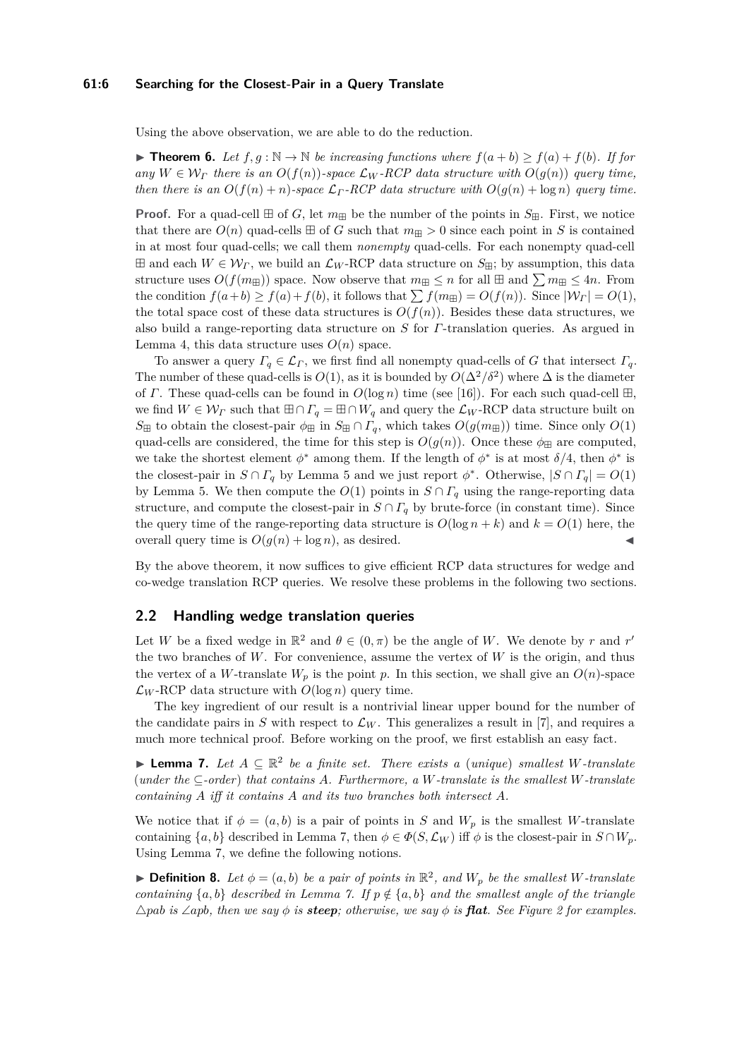### **61:6 Searching for the Closest-Pair in a Query Translate**

Using the above observation, we are able to do the reduction.

<span id="page-5-1"></span>▶ **Theorem 6.** *Let*  $f, g : \mathbb{N} \to \mathbb{N}$  *be increasing functions where*  $f(a + b) \ge f(a) + f(b)$ *. If for any*  $W \in \mathcal{W}_\Gamma$  *there is an*  $O(f(n))$ *-space*  $\mathcal{L}_W$ *-RCP data structure with*  $O(q(n))$  *query time, then there is an*  $O(f(n) + n)$ *-space*  $\mathcal{L}_\Gamma$ *-RCP data structure with*  $O(g(n) + \log n)$  *query time.* 

**Proof.** For a quad-cell  $\boxplus$  of *G*, let  $m_{\boxplus}$  be the number of the points in  $S_{\boxplus}$ . First, we notice that there are  $O(n)$  quad-cells  $\boxplus$  of *G* such that  $m_{\boxplus} > 0$  since each point in *S* is contained in at most four quad-cells; we call them *nonempty* quad-cells. For each nonempty quad-cell  $\boxplus$  and each  $W \in \mathcal{W}_r$ , we build an  $\mathcal{L}_W$ -RCP data structure on  $S_{\boxplus}$ ; by assumption, this data structure uses  $O(f(m_{\text{H}}))$  space. Now observe that  $m_{\text{H}} \leq n$  for all  $\text{H}$  and  $\sum m_{\text{H}} \leq 4n$ . From the condition  $f(a+b) \ge f(a) + f(b)$ , it follows that  $\sum f(m \boxplus) = O(f(n))$ . Since  $|\mathcal{W}_\Gamma| = O(1)$ , the total space cost of these data structures is  $O(f(n))$ . Besides these data structures, we also build a range-reporting data structure on *S* for *Γ*-translation queries. As argued in Lemma [4,](#page-4-1) this data structure uses  $O(n)$  space.

To answer a query  $\Gamma_q \in \mathcal{L}_\Gamma$ , we first find all nonempty quad-cells of *G* that intersect  $\Gamma_q$ . The number of these quad-cells is  $O(1)$ , as it is bounded by  $O(\Delta^2/\delta^2)$  where  $\Delta$  is the diameter of *Γ*. These quad-cells can be found in  $O(\log n)$  time (see [\[16\]](#page-14-4)). For each such quad-cell  $\boxplus$ , we find  $W \in \mathcal{W}_{\Gamma}$  such that  $\boxplus \cap \Gamma_q = \boxplus \cap W_q$  and query the  $\mathcal{L}_W$ -RCP data structure built on  $S_{\boxplus}$  to obtain the closest-pair  $\phi_{\boxplus}$  in  $S_{\boxplus} \cap \Gamma_q$ , which takes  $O(g(m_{\boxplus}))$  time. Since only  $O(1)$ quad-cells are considered, the time for this step is  $O(g(n))$ . Once these  $\phi_{\text{H}}$  are computed, we take the shortest element  $\phi^*$  among them. If the length of  $\phi^*$  is at most  $\delta/4$ , then  $\phi^*$  is the closest-pair in  $S \cap \Gamma_q$  by Lemma [5](#page-4-2) and we just report  $\phi^*$ . Otherwise,  $|S \cap \Gamma_q| = O(1)$ by Lemma [5.](#page-4-2) We then compute the  $O(1)$  points in  $S \cap \Gamma_q$  using the range-reporting data structure, and compute the closest-pair in  $S \cap \Gamma_q$  by brute-force (in constant time). Since the query time of the range-reporting data structure is  $O(\log n + k)$  and  $k = O(1)$  here, the overall query time is  $O(q(n) + \log n)$ , as desired.

By the above theorem, it now suffices to give efficient RCP data structures for wedge and co-wedge translation RCP queries. We resolve these problems in the following two sections.

# **2.2 Handling wedge translation queries**

Let *W* be a fixed wedge in  $\mathbb{R}^2$  and  $\theta \in (0, \pi)$  be the angle of *W*. We denote by *r* and *r'* the two branches of  $W$ . For convenience, assume the vertex of  $W$  is the origin, and thus the vertex of a *W*-translate  $W_p$  is the point *p*. In this section, we shall give an  $O(n)$ -space  $\mathcal{L}_W$ -RCP data structure with  $O(\log n)$  query time.

The key ingredient of our result is a nontrivial linear upper bound for the number of the candidate pairs in *S* with respect to  $\mathcal{L}_W$ . This generalizes a result in [\[7\]](#page-13-3), and requires a much more technical proof. Before working on the proof, we first establish an easy fact.

<span id="page-5-0"></span>**► Lemma 7.** Let  $A \subseteq \mathbb{R}^2$  be a finite set. There exists a (unique) smallest W-translate (*under the* ⊆*-order*) *that contains A. Furthermore, a W-translate is the smallest W-translate containing A iff it contains A and its two branches both intersect A.*

We notice that if  $\phi = (a, b)$  is a pair of points in *S* and  $W_p$  is the smallest *W*-translate containing  $\{a, b\}$  described in Lemma [7,](#page-5-0) then  $\phi \in \Phi(S, \mathcal{L}_W)$  iff  $\phi$  is the closest-pair in  $S \cap W_p$ . Using Lemma [7,](#page-5-0) we define the following notions.

 $\blacktriangleright$  **Definition 8.** Let  $\phi = (a, b)$  be a pair of points in  $\mathbb{R}^2$ , and  $W_p$  be the smallest W-translate *containing*  $\{a, b\}$  *described in Lemma [7.](#page-5-0) If*  $p \notin \{a, b\}$  *and the smallest angle of the triangle*  $\triangle$ *pab is*  $\angle$ *apb,* then we say  $\phi$  *is* **steep**; otherwise, we say  $\phi$  *is* **flat***. See Figure* [2](#page-6-0) for examples.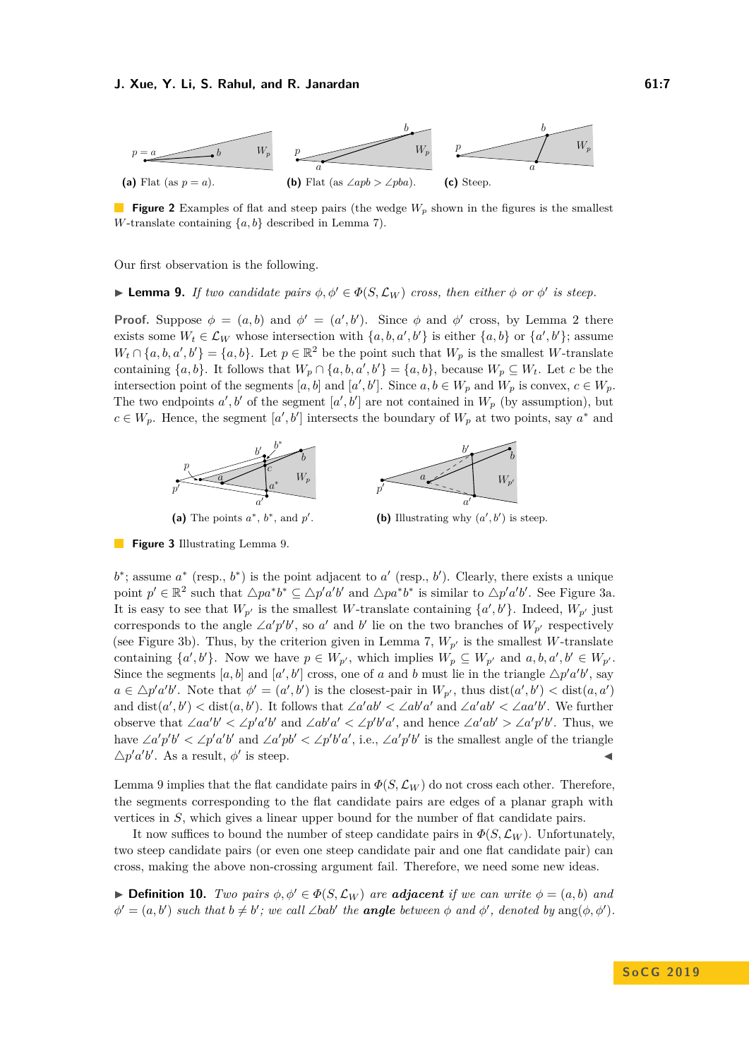<span id="page-6-0"></span>

**Figure 2** Examples of flat and steep pairs (the wedge  $W_p$  shown in the figures is the smallest *W*-translate containing {*a, b*} described in Lemma [7\)](#page-5-0).

Our first observation is the following.

<span id="page-6-1"></span>**I Lemma 9.** *If two candidate pairs*  $\phi, \phi' \in \Phi(S, \mathcal{L}_W)$  *cross, then either*  $\phi$  *or*  $\phi'$  *is steep.* 

**Proof.** Suppose  $\phi = (a, b)$  and  $\phi' = (a', b')$ . Since  $\phi$  and  $\phi'$  cross, by Lemma [2](#page-3-5) there exists some  $W_t \in \mathcal{L}_W$  whose intersection with  $\{a, b, a', b'\}$  is either  $\{a, b\}$  or  $\{a', b'\}$ ; assume  $W_t \cap \{a, b, a', b'\} = \{a, b\}.$  Let  $p \in \mathbb{R}^2$  be the point such that  $W_p$  is the smallest *W*-translate containing  $\{a, b\}$ . It follows that  $W_p \cap \{a, b, a', b'\} = \{a, b\}$ , because  $W_p \subseteq W_t$ . Let *c* be the intersection point of the segments  $[a, b]$  and  $[a', b']$ . Since  $a, b \in W_p$  and  $W_p$  is convex,  $c \in W_p$ . The two endpoints  $a', b'$  of the segment  $[a', b']$  are not contained in  $W_p$  (by assumption), but  $c \in W_p$ . Hence, the segment [*a'*, *b'*] intersects the boundary of  $W_p$  at two points, say  $a^*$  and

<span id="page-6-2"></span>

**Figure 3** Illustrating Lemma [9.](#page-6-1)

 $b^*$ ; assume  $a^*$  (resp.,  $b^*$ ) is the point adjacent to  $a'$  (resp.,  $b'$ ). Clearly, there exists a unique point  $p' \in \mathbb{R}^2$  such that  $\triangle pa^*b^* \subseteq \triangle p'a'b'$  and  $\triangle pa^*b^*$  is similar to  $\triangle p'a'b'$ . See Figure [3a.](#page-6-2) It is easy to see that  $W_{p'}$  is the smallest *W*-translate containing  $\{a', b'\}$ . Indeed,  $W_{p'}$  just corresponds to the angle  $\angle a'p'b'$ , so *a'* and *b'* lie on the two branches of  $W_{p'}$  respectively (see Figure [3b\)](#page-6-2). Thus, by the criterion given in Lemma [7,](#page-5-0)  $W_{p'}$  is the smallest *W*-translate containing  $\{a', b'\}$ . Now we have  $p \in W_{p'}$ , which implies  $W_p \subseteq W_{p'}$  and  $a, b, a', b' \in W_{p'}$ . Since the segments  $[a, b]$  and  $[a', b']$  cross, one of *a* and *b* must lie in the triangle  $\Delta p' a'b'$ , say  $a \in \Delta p^{\prime} a^{\prime} b^{\prime}$ . Note that  $\phi^{\prime} = (a^{\prime}, b^{\prime})$  is the closest-pair in  $W_{p^{\prime}}$ , thus  $dist(a^{\prime}, b^{\prime}) < dist(a, a^{\prime})$ and  $dist(a', b') < dist(a, b')$ . It follows that ∠*a'ab'* < ∠*ab'a'* and ∠*a'ab'* < ∠*aa'b'*. We further observe that  $\angle aa'b' < \angle p'a'b'$  and  $\angle ab'a' < \angle p'b'a'$ , and hence  $\angle a'ab' > \angle a'p'b'$ . Thus, we have  $\angle a'p'b' < \angle p'a'b'$  and  $\angle a'pb' < \angle p'b'a'$ , i.e.,  $\angle a'p'b'$  is the smallest angle of the triangle  $\Delta p' a'b'$ . As a result,  $\phi'$  is steep.

Lemma [9](#page-6-1) implies that the flat candidate pairs in  $\Phi(S, \mathcal{L}_W)$  do not cross each other. Therefore, the segments corresponding to the flat candidate pairs are edges of a planar graph with vertices in *S*, which gives a linear upper bound for the number of flat candidate pairs.

It now suffices to bound the number of steep candidate pairs in  $\Phi(S, \mathcal{L}_W)$ . Unfortunately, two steep candidate pairs (or even one steep candidate pair and one flat candidate pair) can cross, making the above non-crossing argument fail. Therefore, we need some new ideas.

 $\blacktriangleright$  **Definition 10.** *Two pairs*  $\phi, \phi' \in \Phi(S, \mathcal{L}_W)$  *are adjacent if we can write*  $\phi = (a, b)$  *and*  $\phi' = (a, b')$  *such that*  $b \neq b'$ ; we call  $\angle bab'$  *the* **angle** between  $\phi$  and  $\phi'$ , denoted by  $\arg(\phi, \phi')$ .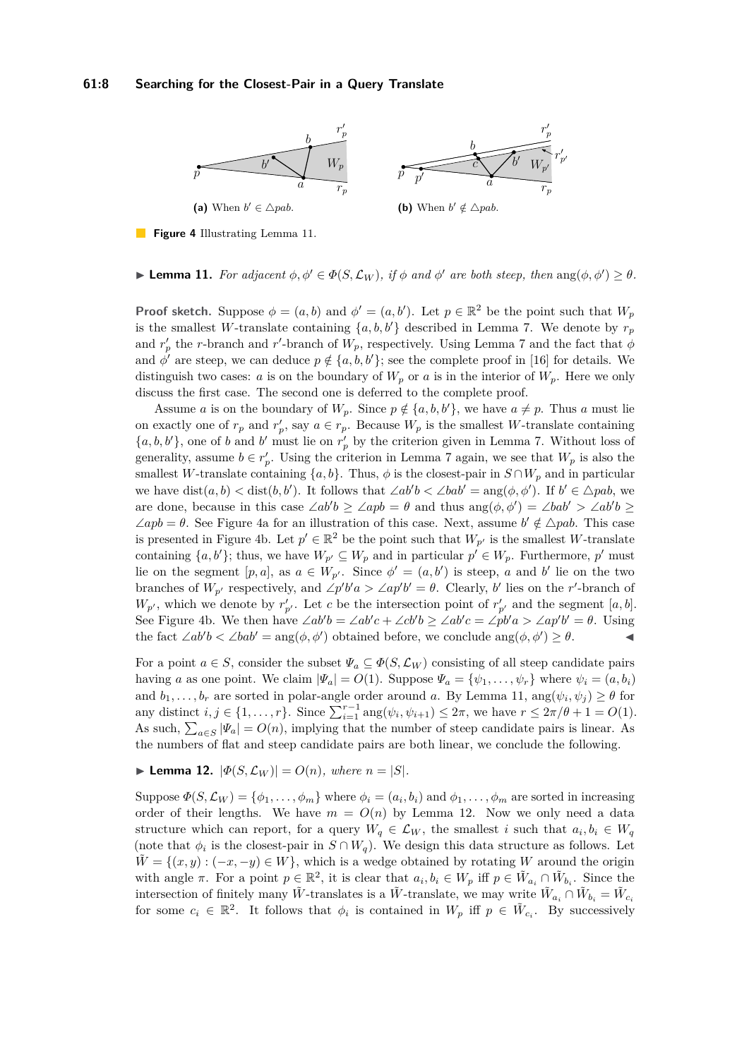### **61:8 Searching for the Closest-Pair in a Query Translate**

<span id="page-7-1"></span>

**Figure 4** Illustrating Lemma [11.](#page-7-0)

<span id="page-7-0"></span>**Example 11.** For adjacent  $\phi, \phi' \in \Phi(S, \mathcal{L}_W)$ , if  $\phi$  and  $\phi'$  are both steep, then  $\text{ang}(\phi, \phi') \geq \theta$ .

**Proof sketch.** Suppose  $\phi = (a, b)$  and  $\phi' = (a, b')$ . Let  $p \in \mathbb{R}^2$  be the point such that  $W_p$ is the smallest *W*-translate containing  $\{a, b, b'\}$  described in Lemma [7.](#page-5-0) We denote by  $r_p$ and  $r'_p$  the *r*-branch and *r*'-branch of  $W_p$ , respectively. Using Lemma [7](#page-5-0) and the fact that  $\phi$ and  $\phi'$  are steep, we can deduce  $p \notin \{a, b, b'\}$ ; see the complete proof in [\[16\]](#page-14-4) for details. We distinguish two cases: *a* is on the boundary of  $W_p$  or *a* is in the interior of  $W_p$ . Here we only discuss the first case. The second one is deferred to the complete proof.

Assume *a* is on the boundary of  $W_p$ . Since  $p \notin \{a, b, b'\}$ , we have  $a \neq p$ . Thus *a* must lie on exactly one of  $r_p$  and  $r'_p$ , say  $a \in r_p$ . Because  $W_p$  is the smallest *W*-translate containing  $\{a, b, b'\}$ , one of *b* and *b*' must lie on  $r'_p$  by the criterion given in Lemma [7.](#page-5-0) Without loss of generality, assume  $b \in r'_p$ . Using the criterion in Lemma [7](#page-5-0) again, we see that  $W_p$  is also the smallest *W*-translate containing  $\{a, b\}$ . Thus,  $\phi$  is the closest-pair in  $S \cap W_p$  and in particular we have  $dist(a, b) < dist(b, b')$ . It follows that  $\angle ab'b < \angle bab' = ang(\phi, \phi')$ . If  $b' \in \triangle pab$ , we are done, because in this case  $\angle ab'b \geq \angle app = \theta$  and thus  $\text{ang}(\phi, \phi') = \angle bab' > \angle ab'b \geq \theta$  $\angle apb = \theta$ . See Figure [4a](#page-7-1) for an illustration of this case. Next, assume  $b' \notin \triangle pab$ . This case is presented in Figure [4b.](#page-7-1) Let  $p' \in \mathbb{R}^2$  be the point such that  $W_{p'}$  is the smallest *W*-translate containing  $\{a, b'\}$ ; thus, we have  $W_{p'} \subseteq W_p$  and in particular  $p' \in W_p$ . Furthermore,  $p'$  must lie on the segment  $[p, a]$ , as  $a \in W_{p'}$ . Since  $\phi' = (a, b')$  is steep, *a* and *b'* lie on the two branches of  $W_{p'}$  respectively, and  $\angle p'b'a > \angle ap'b' = \theta$ . Clearly, *b*' lies on the *r*'-branch of  $W_{p'}$ , which we denote by  $r'_{p'}$ . Let *c* be the intersection point of  $r'_{p'}$  and the segment [*a, b*]. See Figure [4b.](#page-7-1) We then have  $\angle ab'b = \angle ab'c + \angle cb'b \geq \angle ab'c = \angle pb'a > \angle ap'b' = \theta$ . Using the fact  $\angle ab'b < \angle bab' = \arg(\phi, \phi')$  obtained before, we conclude  $\arg(\phi, \phi') \geq \theta$ .

For a point  $a \in S$ , consider the subset  $\Psi_a \subseteq \Phi(S, \mathcal{L}_W)$  consisting of all steep candidate pairs having *a* as one point. We claim  $|\Psi_a| = O(1)$ . Suppose  $\Psi_a = {\psi_1, \dots, \psi_r}$  where  $\psi_i = (a, b_i)$ and  $b_1, \ldots, b_r$  are sorted in polar-angle order around *a*. By Lemma [11,](#page-7-0)  $\arg(\psi_i, \psi_j) \geq \theta$  for any distinct  $i, j \in \{1, ..., r\}$ . Since  $\sum_{i=1}^{r-1} \arg(\psi_i, \psi_{i+1}) \leq 2\pi$ , we have  $r \leq 2\pi/\theta + 1 = O(1)$ . As such,  $\sum_{a \in S} |\Psi_a| = O(n)$ , implying that the number of steep candidate pairs is linear. As the numbers of flat and steep candidate pairs are both linear, we conclude the following.

<span id="page-7-2"></span>► Lemma 12.  $|\Phi(S, \mathcal{L}_W)| = O(n)$ , where  $n = |S|$ .

Suppose  $\Phi(S, \mathcal{L}_W) = \{\phi_1, \dots, \phi_m\}$  where  $\phi_i = (a_i, b_i)$  and  $\phi_1, \dots, \phi_m$  are sorted in increasing order of their lengths. We have  $m = O(n)$  by Lemma [12.](#page-7-2) Now we only need a data structure which can report, for a query  $W_q \in \mathcal{L}_W$ , the smallest *i* such that  $a_i, b_i \in W_q$ (note that  $\phi_i$  is the closest-pair in  $S \cap W_q$ ). We design this data structure as follows. Let  $\tilde{W} = \{(x, y) : (-x, -y) \in W\}$ , which is a wedge obtained by rotating *W* around the origin with angle  $\pi$ . For a point  $p \in \mathbb{R}^2$ , it is clear that  $a_i, b_i \in W_p$  iff  $p \in \tilde{W}_{a_i} \cap \tilde{W}_{b_i}$ . Since the intersection of finitely many  $\tilde{W}$ -translates is a  $\tilde{W}$ -translate, we may write  $\tilde{W}_{a_i} \cap \tilde{W}_{b_i} = \tilde{W}_{c_i}$ for some  $c_i \in \mathbb{R}^2$ . It follows that  $\phi_i$  is contained in  $W_p$  iff  $p \in \tilde{W}_{c_i}$ . By successively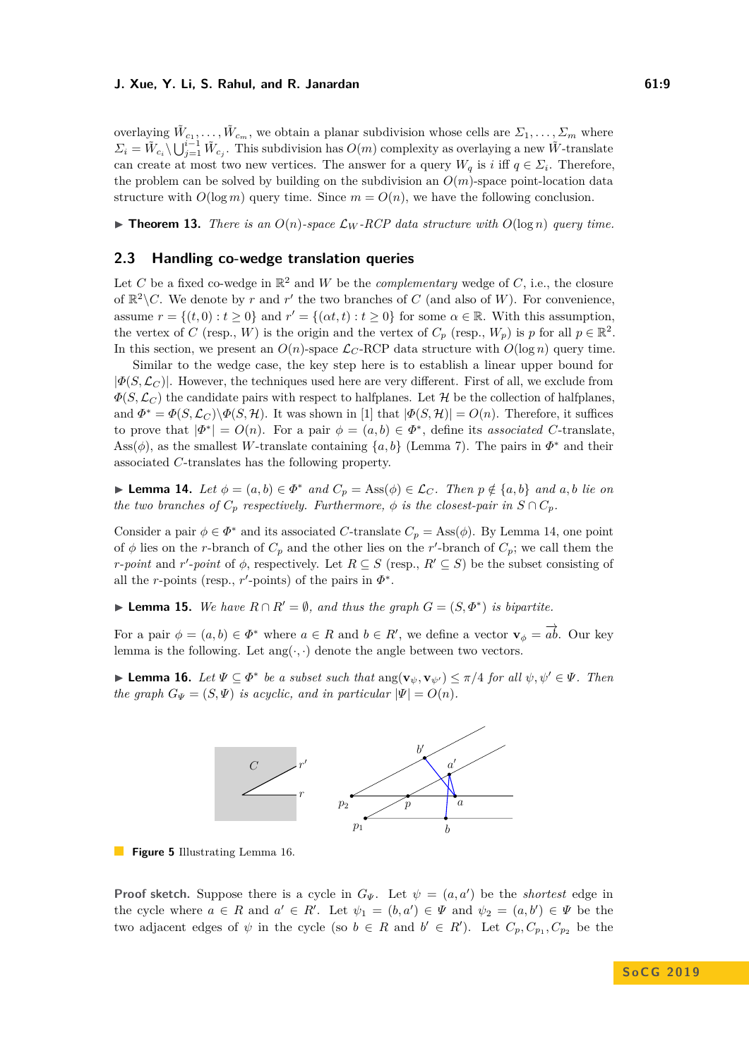overlaying  $\tilde{W}_{c_1}, \ldots, \tilde{W}_{c_m}$ , we obtain a planar subdivision whose cells are  $\varSigma_1, \ldots, \varSigma_m$  where  $\Sigma_i = \tilde{W}_{c_i} \setminus \bigcup_{j=1}^{i-1} \tilde{W}_{c_j}$ . This subdivision has  $O(m)$  complexity as overlaying a new  $\tilde{W}$ -translate can create at most two new vertices. The answer for a query  $W_q$  is *i* iff  $q \in \Sigma_i$ . Therefore, the problem can be solved by building on the subdivision an *O*(*m*)-space point-location data structure with  $O(\log m)$  query time. Since  $m = O(n)$ , we have the following conclusion.

<span id="page-8-3"></span>**Find 13.** *There is an*  $O(n)$ *-space*  $\mathcal{L}_W$ *-RCP* data structure with  $O(\log n)$  *query time.* 

# **2.3 Handling co-wedge translation queries**

Let *C* be a fixed co-wedge in  $\mathbb{R}^2$  and *W* be the *complementary* wedge of *C*, i.e., the closure of  $\mathbb{R}^2 \setminus C$ . We denote by *r* and *r'* the two branches of *C* (and also of *W*). For convenience, assume  $r = \{(t, 0) : t \ge 0\}$  and  $r' = \{(at, t) : t \ge 0\}$  for some  $\alpha \in \mathbb{R}$ . With this assumption, the vertex of *C* (resp., *W*) is the origin and the vertex of  $C_p$  (resp.,  $W_p$ ) is *p* for all  $p \in \mathbb{R}^2$ . In this section, we present an  $O(n)$ -space  $\mathcal{L}_C$ -RCP data structure with  $O(\log n)$  query time.

Similar to the wedge case, the key step here is to establish a linear upper bound for  $|\Phi(S, \mathcal{L}_C)|$ . However, the techniques used here are very different. First of all, we exclude from  $\Phi(S, \mathcal{L}_C)$  the candidate pairs with respect to halfplanes. Let H be the collection of halfplanes, and  $\Phi^* = \Phi(S, \mathcal{L}_C) \backslash \Phi(S, \mathcal{H})$ . It was shown in [\[1\]](#page-13-0) that  $|\Phi(S, \mathcal{H})| = O(n)$ . Therefore, it suffices to prove that  $|\Phi^*| = O(n)$ . For a pair  $\phi = (a, b) \in \Phi^*$ , define its *associated C*-translate, Ass( $\phi$ ), as the smallest *W*-translate containing  $\{a, b\}$  (Lemma [7\)](#page-5-0). The pairs in  $\Phi^*$  and their associated *C*-translates has the following property.

<span id="page-8-0"></span>► **Lemma 14.** *Let*  $\phi = (a, b) \in \Phi^*$  *and*  $C_p = \text{Ass}(\phi) \in \mathcal{L}_C$ *. Then*  $p \notin \{a, b\}$  *and*  $a, b$  *lie on the two branches of*  $C_p$  *respectively. Furthermore,*  $\phi$  *is the closest-pair in*  $S \cap C_p$ *.* 

Consider a pair  $\phi \in \Phi^*$  and its associated *C*-translate  $C_p = \text{Ass}(\phi)$ . By Lemma [14,](#page-8-0) one point of  $\phi$  lies on the *r*-branch of  $C_p$  and the other lies on the *r*'-branch of  $C_p$ ; we call them the *r*-*point* and *r*'-*point* of  $\phi$ , respectively. Let  $R \subseteq S$  (resp.,  $R' \subseteq S$ ) be the subset consisting of all the *r*-points (resp., *r'*-points) of the pairs in  $\Phi^*$ .

▶ **Lemma 15.** *We have*  $R \cap R' = ∅$ *, and thus the graph*  $G = (S, \Phi^*)$  *is bipartite.* 

For a pair  $\phi = (a, b) \in \Phi^*$  where  $a \in R$  and  $b \in R'$ , we define a vector  $\mathbf{v}_{\phi} = \overrightarrow{ab}$ . Our key lemma is the following. Let  $\text{ang}(\cdot, \cdot)$  denote the angle between two vectors.

<span id="page-8-2"></span><span id="page-8-1"></span>**Example 16.** *Let*  $\Psi \subseteq \Phi^*$  *be a subset such that*  $\text{ang}(\mathbf{v}_{\psi}, \mathbf{v}_{\psi'}) \le \pi/4$  *for all*  $\psi, \psi' \in \Psi$ *. Then the graph*  $G_{\Psi} = (S, \Psi)$  *is acyclic, and in particular*  $|\Psi| = O(n)$ *.* 



**Figure 5** Illustrating Lemma [16.](#page-8-1)

**Proof sketch.** Suppose there is a cycle in  $G_{\Psi}$ . Let  $\psi = (a, a')$  be the *shortest* edge in the cycle where  $a \in R$  and  $a' \in R'$ . Let  $\psi_1 = (b, a') \in \Psi$  and  $\psi_2 = (a, b') \in \Psi$  be the two adjacent edges of  $\psi$  in the cycle (so  $b \in R$  and  $b' \in R'$ ). Let  $C_p, C_{p_1}, C_{p_2}$  be the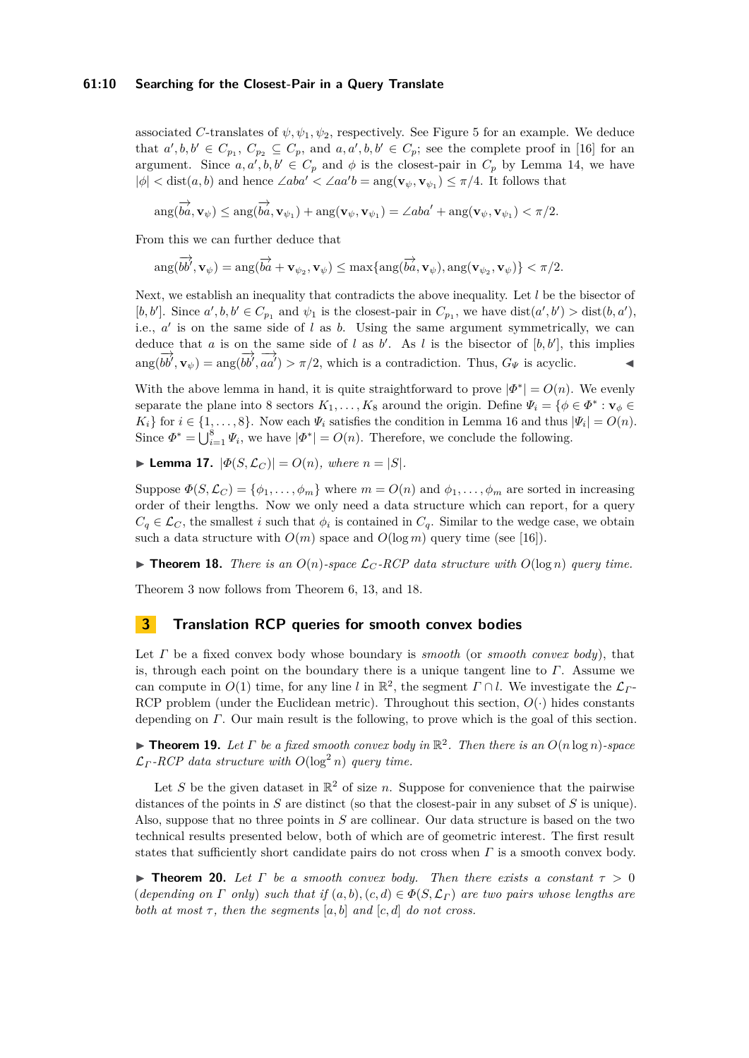### **61:10 Searching for the Closest-Pair in a Query Translate**

associated *C*-translates of  $\psi, \psi_1, \psi_2$ , respectively. See Figure [5](#page-8-2) for an example. We deduce that  $a', b, b' \in C_{p_1}, C_{p_2} \subseteq C_p$ , and  $a, a', b, b' \in C_p$ ; see the complete proof in [\[16\]](#page-14-4) for an argument. Since  $a, a', b, b' \in C_p$  and  $\phi$  is the closest-pair in  $C_p$  by Lemma [14,](#page-8-0) we have  $|\phi| < \text{dist}(a, b)$  and hence  $\angle aba' < \angle aa'b = \text{ang}(\mathbf{v}_{\psi}, \mathbf{v}_{\psi_1}) \leq \pi/4$ . It follows that

$$
\arg(\overrightarrow{ba}, \mathbf{v}_{\psi}) \leq \arg(\overrightarrow{ba}, \mathbf{v}_{\psi_1}) + \arg(\mathbf{v}_{\psi}, \mathbf{v}_{\psi_1}) = \angle aba' + \arg(\mathbf{v}_{\psi}, \mathbf{v}_{\psi_1}) < \pi/2.
$$

From this we can further deduce that

$$
\arg(\overrightarrow{bb'}, \mathbf{v}_{\psi}) = \arg(\overrightarrow{ba} + \mathbf{v}_{\psi_2}, \mathbf{v}_{\psi}) \le \max\{\arg(\overrightarrow{ba}, \mathbf{v}_{\psi}), \arg(\mathbf{v}_{\psi_2}, \mathbf{v}_{\psi})\} < \pi/2.
$$

Next, we establish an inequality that contradicts the above inequality. Let *l* be the bisector of [b, b']. Since  $a', b, b' \in C_{p_1}$  and  $\psi_1$  is the closest-pair in  $C_{p_1}$ , we have  $dist(a', b') > dist(b, a')$ , i.e.,  $a'$  is on the same side of  $l$  as  $b$ . Using the same argument symmetrically, we can deduce that *a* is on the same side of *l* as *b*'. As *l* is the bisector of  $[b, b']$ , this implies  $\lim_{\delta \to 0} \frac{\partial^2 u}{\partial b^{\prime} \cdot \delta u^{\prime}} = \lim_{\delta \to 0} \frac{\partial^2 u}{\partial a^{\prime \prime}} > \pi/2$ , which is a contradiction. Thus,  $G_{\Psi}$  is acyclic.

With the above lemma in hand, it is quite straightforward to prove  $|\Phi^*| = O(n)$ . We evenly separate the plane into 8 sectors  $K_1, \ldots, K_8$  around the origin. Define  $\Psi_i = \{ \phi \in \Phi^* : \mathbf{v}_{\phi} \in \mathbb{R}^* \}$ *K*<sub>*i*</sub>} for  $i \in \{1, \ldots, 8\}$ . Now each  $\Psi_i$  satisfies the condition in Lemma [16](#page-8-1) and thus  $|\Psi_i| = O(n)$ . Since  $\Phi^* = \bigcup_{i=1}^8 \Psi_i$ , we have  $|\Phi^*| = O(n)$ . Therefore, we conclude the following.

► Lemma 17.  $|\Phi(S, \mathcal{L}_C)| = O(n)$ , where  $n = |S|$ .

Suppose  $\Phi(S, \mathcal{L}_C) = \{\phi_1, \ldots, \phi_m\}$  where  $m = O(n)$  and  $\phi_1, \ldots, \phi_m$  are sorted in increasing order of their lengths. Now we only need a data structure which can report, for a query  $C_q \in \mathcal{L}_C$ , the smallest *i* such that  $\phi_i$  is contained in  $C_q$ . Similar to the wedge case, we obtain such a data structure with  $O(m)$  space and  $O(\log m)$  query time (see [\[16\]](#page-14-4)).

<span id="page-9-1"></span>**Find 18.** *There is an*  $O(n)$ -space  $\mathcal{L}_C$ -RCP data structure with  $O(\log n)$  *query time.* 

Theorem [3](#page-4-3) now follows from Theorem [6,](#page-5-1) [13,](#page-8-3) and [18.](#page-9-1)

# <span id="page-9-0"></span>**3 Translation RCP queries for smooth convex bodies**

Let *Γ* be a fixed convex body whose boundary is *smooth* (or *smooth convex body*), that is, through each point on the boundary there is a unique tangent line to *Γ*. Assume we can compute in  $O(1)$  time, for any line *l* in  $\mathbb{R}^2$ , the segment  $\Gamma \cap l$ . We investigate the  $\mathcal{L}_\Gamma$ -RCP problem (under the Euclidean metric). Throughout this section,  $O(\cdot)$  hides constants depending on *Γ*. Our main result is the following, to prove which is the goal of this section.

<span id="page-9-3"></span>**Findmark 19.** Let  $\Gamma$  be a fixed smooth convex body in  $\mathbb{R}^2$ . Then there is an  $O(n \log n)$ -space  $\mathcal{L}_\Gamma$  *-RCP* data structure with  $O(\log^2 n)$  query time.

Let S be the given dataset in  $\mathbb{R}^2$  of size *n*. Suppose for convenience that the pairwise distances of the points in *S* are distinct (so that the closest-pair in any subset of *S* is unique). Also, suppose that no three points in *S* are collinear. Our data structure is based on the two technical results presented below, both of which are of geometric interest. The first result states that sufficiently short candidate pairs do not cross when *Γ* is a smooth convex body.

<span id="page-9-2"></span>**Figure 120.** *Let Γ be a smooth convex body. Then there exists a constant*  $\tau > 0$  $(\text{depending on } \Gamma \text{ only})$  such that if  $(a, b), (c, d) \in \Phi(S, \mathcal{L}_\Gamma)$  are two pairs whose lengths are *both at most*  $\tau$ *, then the segments*  $[a, b]$  *and*  $[c, d]$  *do not cross.*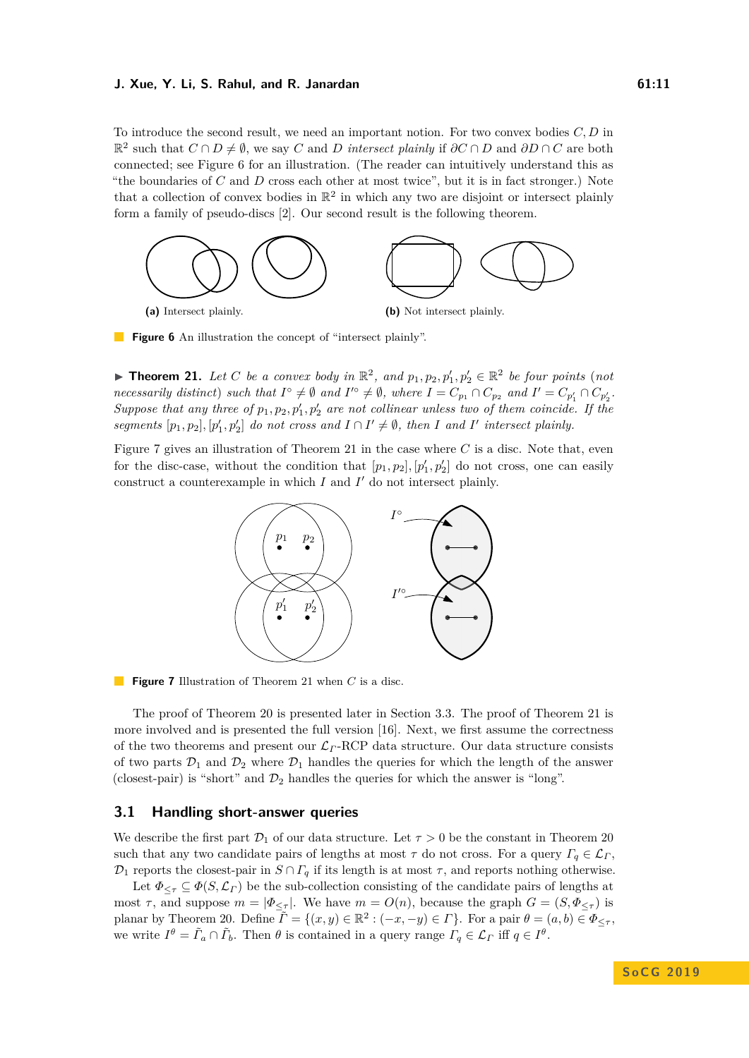To introduce the second result, we need an important notion. For two convex bodies *C, D* in  $\mathbb{R}^2$  such that  $C \cap D \neq \emptyset$ , we say  $C$  and  $D$  *intersect plainly* if  $\partial C \cap D$  and  $\partial D \cap C$  are both connected; see Figure [6](#page-10-0) for an illustration. (The reader can intuitively understand this as "the boundaries of *C* and *D* cross each other at most twice", but it is in fact stronger.) Note that a collection of convex bodies in  $\mathbb{R}^2$  in which any two are disjoint or intersect plainly form a family of pseudo-discs [\[2\]](#page-13-8). Our second result is the following theorem.

<span id="page-10-0"></span>

**Figure 6** An illustration the concept of "intersect plainly".

<span id="page-10-2"></span>▶ **Theorem 21.** *Let C be a convex body in*  $\mathbb{R}^2$ *, and*  $p_1, p_2, p'_1, p'_2 \in \mathbb{R}^2$  *be four points* (*not* necessarily distinct) such that  $I^{\circ} \neq \emptyset$  and  $I'^{\circ} \neq \emptyset$ , where  $I = C_{p_1} \cap C_{p_2}$  and  $I' = C_{p'_1} \cap C_{p'_2}$ . *Suppose that any three of*  $p_1, p_2, p'_1, p'_2$  *are not collinear unless two of them coincide. If the segments*  $[p_1, p_2], [p'_1, p'_2]$  *do not cross and*  $I \cap I' \neq \emptyset$ *, then I and I' intersect plainly.* 

<span id="page-10-1"></span>Figure [7](#page-10-1) gives an illustration of Theorem [21](#page-10-2) in the case where *C* is a disc. Note that, even for the disc-case, without the condition that  $[p_1, p_2], [p'_1, p'_2]$  do not cross, one can easily construct a counterexample in which  $I$  and  $I'$  do not intersect plainly.



**Figure 7** Illustration of Theorem [21](#page-10-2) when *C* is a disc.

The proof of Theorem [20](#page-9-2) is presented later in Section [3.3.](#page-12-0) The proof of Theorem [21](#page-10-2) is more involved and is presented the full version [\[16\]](#page-14-4). Next, we first assume the correctness of the two theorems and present our L*<sup>Γ</sup>* -RCP data structure. Our data structure consists of two parts  $\mathcal{D}_1$  and  $\mathcal{D}_2$  where  $\mathcal{D}_1$  handles the queries for which the length of the answer (closest-pair) is "short" and  $\mathcal{D}_2$  handles the queries for which the answer is "long".

### **3.1 Handling short-answer queries**

We describe the first part  $\mathcal{D}_1$  of our data structure. Let  $\tau > 0$  be the constant in Theorem [20](#page-9-2) such that any two candidate pairs of lengths at most  $\tau$  do not cross. For a query  $\Gamma_q \in \mathcal{L}_\Gamma$ ,  $\mathcal{D}_1$  reports the closest-pair in  $S \cap \Gamma_q$  if its length is at most  $\tau$ , and reports nothing otherwise.

Let  $\Phi_{\leq \tau} \subseteq \Phi(S, \mathcal{L}_\Gamma)$  be the sub-collection consisting of the candidate pairs of lengths at most  $\tau$ , and suppose  $m = |\Phi_{\leq \tau}|$ . We have  $m = O(n)$ , because the graph  $G = (S, \Phi_{\leq \tau})$  is planar by Theorem [20.](#page-9-2) Define  $\overline{\tilde{\Gamma}} = \{(x, y) \in \mathbb{R}^2 : (-x, -y) \in \Gamma\}$ . For a pair  $\theta = (a, b) \in \Phi_{\leq \tau}$ , we write  $I^{\theta} = \tilde{\Gamma}_a \cap \tilde{\Gamma}_b$ . Then  $\theta$  is contained in a query range  $\Gamma_q \in \mathcal{L}_\Gamma$  iff  $q \in I^{\theta}$ .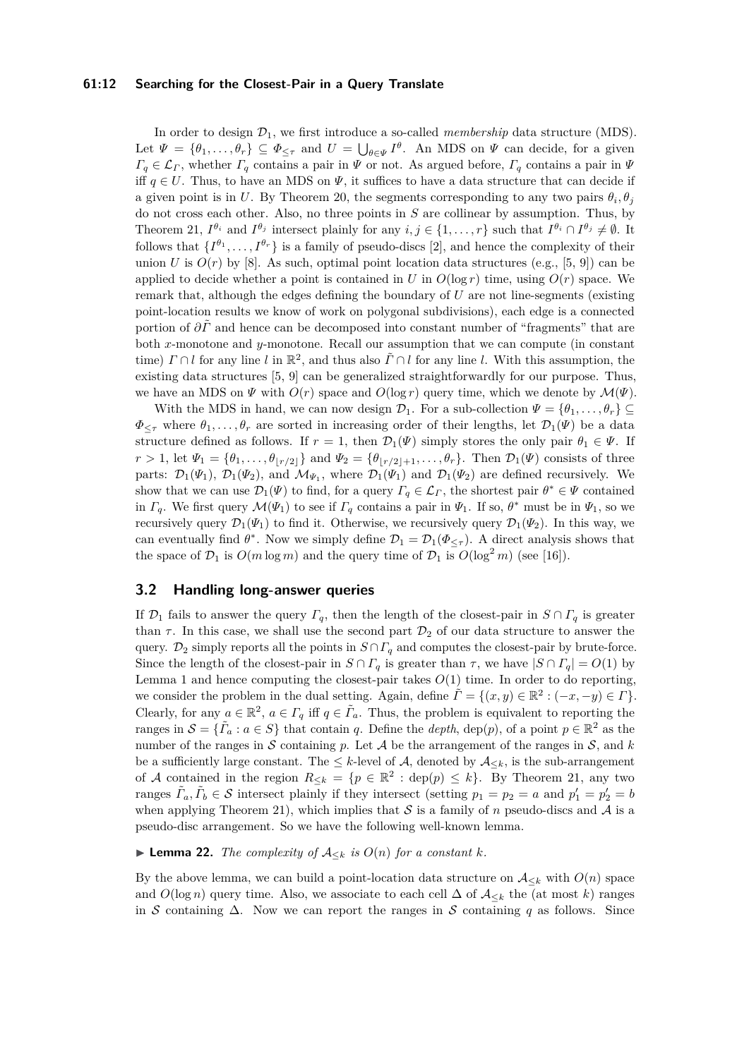### **61:12 Searching for the Closest-Pair in a Query Translate**

In order to design  $\mathcal{D}_1$ , we first introduce a so-called *membership* data structure (MDS). Let  $\Psi = \{\theta_1, \ldots, \theta_r\} \subseteq \Phi_{\leq \tau}$  and  $U = \bigcup_{\theta \in \Psi} I^{\theta}$ . An MDS on  $\Psi$  can decide, for a given  $\Gamma_q \in \mathcal{L}_\Gamma$ , whether  $\Gamma_q$  contains a pair in  $\Psi$  or not. As argued before,  $\Gamma_q$  contains a pair in  $\Psi$ iff  $q \in U$ . Thus, to have an MDS on  $\Psi$ , it suffices to have a data structure that can decide if a given point is in *U*. By Theorem [20,](#page-9-2) the segments corresponding to any two pairs  $\theta_i$ ,  $\theta_j$ do not cross each other. Also, no three points in *S* are collinear by assumption. Thus, by Theorem [21,](#page-10-2)  $I^{\theta_i}$  and  $I^{\theta_j}$  intersect plainly for any  $i, j \in \{1, ..., r\}$  such that  $I^{\theta_i} \cap I^{\theta_j} \neq \emptyset$ . It follows that  $\{I^{\theta_1}, \ldots, I^{\theta_r}\}$  is a family of pseudo-discs [\[2\]](#page-13-8), and hence the complexity of their union *U* is  $O(r)$  by [\[8\]](#page-13-9). As such, optimal point location data structures (e.g., [\[5,](#page-13-10) [9\]](#page-13-11)) can be applied to decide whether a point is contained in *U* in  $O(\log r)$  time, using  $O(r)$  space. We remark that, although the edges defining the boundary of *U* are not line-segments (existing point-location results we know of work on polygonal subdivisions), each edge is a connected portion of *∂Γ*˜ and hence can be decomposed into constant number of "fragments" that are both *x*-monotone and *y*-monotone. Recall our assumption that we can compute (in constant time) *Γ* ∩ *l* for any line *l* in R 2 , and thus also *Γ*˜ ∩ *l* for any line *l*. With this assumption, the existing data structures [\[5,](#page-13-10) [9\]](#page-13-11) can be generalized straightforwardly for our purpose. Thus, we have an MDS on  $\Psi$  with  $O(r)$  space and  $O(\log r)$  query time, which we denote by  $\mathcal{M}(\Psi)$ .

With the MDS in hand, we can now design  $\mathcal{D}_1$ . For a sub-collection  $\Psi = {\theta_1, \ldots, \theta_r} \subseteq$  $\Phi_{\leq \tau}$  where  $\theta_1, \ldots, \theta_r$  are sorted in increasing order of their lengths, let  $\mathcal{D}_1(\Psi)$  be a data structure defined as follows. If  $r = 1$ , then  $\mathcal{D}_1(\Psi)$  simply stores the only pair  $\theta_1 \in \Psi$ . If  $r > 1$ , let  $\Psi_1 = {\theta_1, \ldots, \theta_{|r/2|}}$  and  $\Psi_2 = {\theta_{|r/2|+1}, \ldots, \theta_r}$ . Then  $\mathcal{D}_1(\Psi)$  consists of three parts:  $\mathcal{D}_1(\Psi_1)$ ,  $\mathcal{D}_1(\Psi_2)$ , and  $\mathcal{M}_{\Psi_1}$ , where  $\mathcal{D}_1(\Psi_1)$  and  $\mathcal{D}_1(\Psi_2)$  are defined recursively. We show that we can use  $\mathcal{D}_1(\Psi)$  to find, for a query  $\Gamma_q \in \mathcal{L}_\Gamma$ , the shortest pair  $\theta^* \in \Psi$  contained in *Γ*<sub>*q*</sub>. We first query  $\mathcal{M}(\Psi_1)$  to see if  $\Gamma_q$  contains a pair in  $\Psi_1$ . If so,  $\theta^*$  must be in  $\Psi_1$ , so we recursively query  $\mathcal{D}_1(\Psi_1)$  to find it. Otherwise, we recursively query  $\mathcal{D}_1(\Psi_2)$ . In this way, we can eventually find  $\theta^*$ . Now we simply define  $\mathcal{D}_1 = \mathcal{D}_1(\Phi_{\leq \tau})$ . A direct analysis shows that the space of  $\mathcal{D}_1$  is  $O(m \log m)$  and the query time of  $\mathcal{D}_1$  is  $O(\log^2 m)$  (see [\[16\]](#page-14-4)).

# **3.2 Handling long-answer queries**

If  $\mathcal{D}_1$  fails to answer the query  $\Gamma_q$ , then the length of the closest-pair in  $S \cap \Gamma_q$  is greater than  $\tau$ . In this case, we shall use the second part  $\mathcal{D}_2$  of our data structure to answer the query.  $\mathcal{D}_2$  simply reports all the points in  $S \cap \Gamma_q$  and computes the closest-pair by brute-force. Since the length of the closest-pair in  $S \cap \Gamma_q$  is greater than  $\tau$ , we have  $|S \cap \Gamma_q| = O(1)$  by Lemma [1](#page-3-3) and hence computing the closest-pair takes  $O(1)$  time. In order to do reporting, we consider the problem in the dual setting. Again, define  $\tilde{\Gamma} = \{(x, y) \in \mathbb{R}^2 : (-x, -y) \in \Gamma\}.$ Clearly, for any  $a \in \mathbb{R}^2$ ,  $a \in \Gamma_q$  iff  $q \in \tilde{\Gamma}_q$ . Thus, the problem is equivalent to reporting the ranges in  $S = {\tilde{I}_a : a \in S}$  that contain *q*. Define the *depth*, dep(*p*), of a point  $p \in \mathbb{R}^2$  as the number of the ranges in  $S$  containing  $p$ . Let  $A$  be the arrangement of the ranges in  $S$ , and  $k$ be a sufficiently large constant. The  $\leq k$ -level of A, denoted by  $\mathcal{A}_{\leq k}$ , is the sub-arrangement of A contained in the region  $R_{\leq k} = \{p \in \mathbb{R}^2 : \text{dep}(p) \leq k\}$ . By Theorem [21,](#page-10-2) any two ranges  $\tilde{\Gamma}_a, \tilde{\Gamma}_b \in \mathcal{S}$  intersect plainly if they intersect (setting  $p_1 = p_2 = a$  and  $p'_1 = p'_2 = b$ when applying Theorem [21\)](#page-10-2), which implies that  $S$  is a family of *n* pseudo-discs and  $\mathcal A$  is a pseudo-disc arrangement. So we have the following well-known lemma.

▶ **Lemma 22.** *The complexity of*  $A_{\leq k}$  *is*  $O(n)$  *for a constant*  $k$ *.* 

By the above lemma, we can build a point-location data structure on  $A_{\leq k}$  with  $O(n)$  space and  $O(\log n)$  query time. Also, we associate to each cell  $\Delta$  of  $\mathcal{A}_{\leq k}$  the (at most k) ranges in S containing  $\Delta$ . Now we can report the ranges in S containing q as follows. Since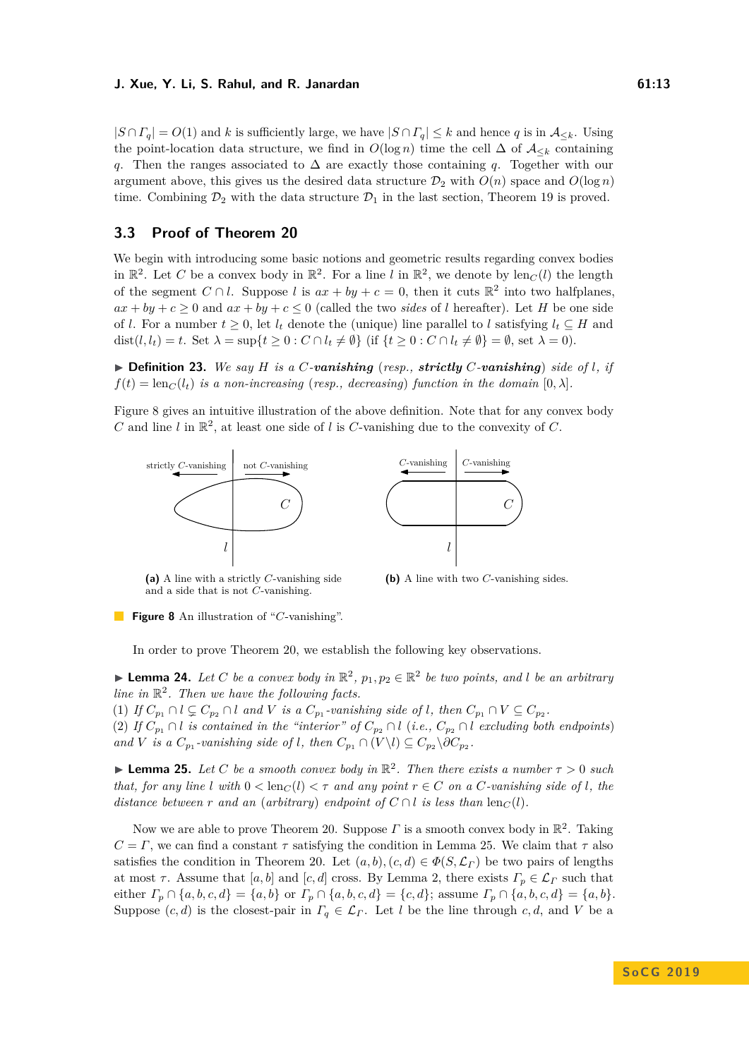$|S \cap \Gamma_q| = O(1)$  and *k* is sufficiently large, we have  $|S \cap \Gamma_q| \leq k$  and hence *q* is in  $\mathcal{A}_{\leq k}$ . Using the point-location data structure, we find in  $O(\log n)$  time the cell  $\Delta$  of  $\mathcal{A}_{\leq k}$  containing *q*. Then the ranges associated to ∆ are exactly those containing *q*. Together with our argument above, this gives us the desired data structure  $\mathcal{D}_2$  with  $O(n)$  space and  $O(\log n)$ time. Combining  $\mathcal{D}_2$  with the data structure  $\mathcal{D}_1$  in the last section, Theorem [19](#page-9-3) is proved.

# <span id="page-12-0"></span>**3.3 Proof of Theorem [20](#page-9-2)**

We begin with introducing some basic notions and geometric results regarding convex bodies in  $\mathbb{R}^2$ . Let *C* be a convex body in  $\mathbb{R}^2$ . For a line *l* in  $\mathbb{R}^2$ , we denote by  $\text{len}_C(l)$  the length of the segment  $C \cap l$ . Suppose *l* is  $ax + by + c = 0$ , then it cuts  $\mathbb{R}^2$  into two halfplanes,  $ax + by + c \ge 0$  and  $ax + by + c \le 0$  (called the two *sides* of *l* hereafter). Let *H* be one side of *l*. For a number  $t > 0$ , let  $l_t$  denote the (unique) line parallel to *l* satisfying  $l_t \subseteq H$  and dist $(l, l_t) = t$ . Set  $\lambda = \sup\{t \geq 0 : C \cap l_t \neq \emptyset\}$  (if  $\{t \geq 0 : C \cap l_t \neq \emptyset\} = \emptyset$ , set  $\lambda = 0$ ).

 $\triangleright$  **Definition 23.** We say *H* is a *C*-vanishing (*resp., strictly C*-vanishing) *side of l, if*  $f(t) = \text{len}_C(l_t)$  *is a non-increasing* (*resp., decreasing*) *function in the domain*  $[0, \lambda]$ *.* 

Figure [8](#page-12-1) gives an intuitive illustration of the above definition. Note that for any convex body  $C$  and line  $l$  in  $\mathbb{R}^2$ , at least one side of  $l$  is  $C$ -vanishing due to the convexity of  $C$ .

<span id="page-12-1"></span>



**(a)** A line with a strictly *C*-vanishing side and a side that is not *C*-vanishing.

**(b)** A line with two *C*-vanishing sides.

**Figure 8** An illustration of "*C*-vanishing".

In order to prove Theorem [20,](#page-9-2) we establish the following key observations.

<span id="page-12-3"></span>▶ **Lemma 24.** *Let C be a convex body in*  $\mathbb{R}^2$ ,  $p_1, p_2 \in \mathbb{R}^2$  *be two points, and l be an arbitrary line in* R 2 *. Then we have the following facts.*

(1) If  $C_{p_1} \cap l \subsetneq C_{p_2} \cap l$  and V is a  $C_{p_1}$ -vanishing side of l, then  $C_{p_1} \cap V \subseteq C_{p_2}$ . (2) *If*  $C_{p_1} \cap l$  *is contained in the "interior" of*  $C_{p_2} \cap l$  (*i.e.,*  $C_{p_2} \cap l$  *excluding both endpoints*) *and V is a*  $C_{p_1}$ -vanishing side of *l*, then  $C_{p_1} \cap (V \setminus l) \subseteq C_{p_2} \setminus \partial C_{p_2}$ .

<span id="page-12-2"></span>**Example 15.** Let *C* be a smooth convex body in  $\mathbb{R}^2$ . Then there exists a number  $\tau > 0$  such *that, for any line l* with  $0 < \text{len}_C(l) < \tau$  *and any point*  $r \in C$  *on a C*-vanishing side of *l*, the *distance between*  $r$  *and an* (*arbitrary*) *endpoint of*  $C \cap l$  *is less than* len $_C(l)$ *.* 

Now we are able to prove Theorem [20.](#page-9-2) Suppose  $\Gamma$  is a smooth convex body in  $\mathbb{R}^2$ . Taking  $C = \Gamma$ , we can find a constant  $\tau$  satisfying the condition in Lemma [25.](#page-12-2) We claim that  $\tau$  also satisfies the condition in Theorem [20.](#page-9-2) Let  $(a, b), (c, d) \in \Phi(S, \mathcal{L}_\Gamma)$  be two pairs of lengths at most  $\tau$ . Assume that [*a, b*] and [*c, d*] cross. By Lemma [2,](#page-3-5) there exists  $\Gamma_p \in \mathcal{L}_\Gamma$  such that either  $\Gamma_p \cap \{a, b, c, d\} = \{a, b\}$  or  $\Gamma_p \cap \{a, b, c, d\} = \{c, d\}$ ; assume  $\Gamma_p \cap \{a, b, c, d\} = \{a, b\}.$ Suppose  $(c, d)$  is the closest-pair in  $\Gamma_q \in \mathcal{L}_\Gamma$ . Let *l* be the line through  $c, d$ , and *V* be a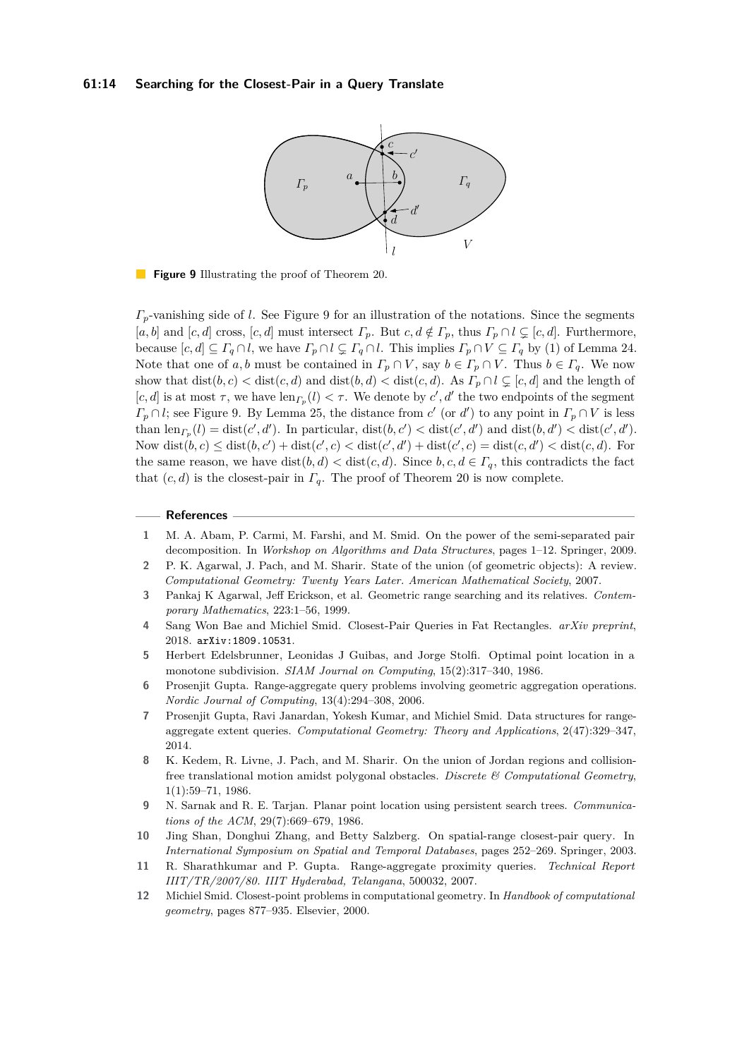### <span id="page-13-12"></span>**61:14 Searching for the Closest-Pair in a Query Translate**



**Figure 9** Illustrating the proof of Theorem [20.](#page-9-2)

*Γp*-vanishing side of *l*. See Figure [9](#page-13-12) for an illustration of the notations. Since the segments [*a, b*] and [*c, d*] cross, [*c, d*] must intersect  $\Gamma_p$ . But  $c, d \notin \Gamma_p$ , thus  $\Gamma_p \cap l \subsetneq [c, d]$ . Furthermore, because  $[c, d] \subseteq \Gamma_q \cap l$ , we have  $\Gamma_p \cap l \subsetneq \Gamma_q \cap l$ . This implies  $\Gamma_p \cap V \subseteq \Gamma_q$  by (1) of Lemma [24.](#page-12-3) Note that one of *a, b* must be contained in  $\Gamma_p \cap V$ , say  $b \in \Gamma_p \cap V$ . Thus  $b \in \Gamma_q$ . We now show that  $dist(b, c) < dist(c, d)$  and  $dist(b, d) < dist(c, d)$ . As  $\Gamma_p \cap l \subsetneq [c, d]$  and the length of [*c*, *d*] is at most  $\tau$ , we have len<sub>*Γp*</sub>(*l*)  $< \tau$ . We denote by *c'*, *d'* the two endpoints of the segment  $\Gamma_p \cap l$ ; see Figure [9.](#page-13-12) By Lemma [25,](#page-12-2) the distance from *c*' (or *d'*) to any point in  $\Gamma_p \cap V$  is less than  $\text{len}_{\Gamma_p}(l) = \text{dist}(c', d')$ . In particular,  $\text{dist}(b, c') < \text{dist}(c', d')$  and  $\text{dist}(b, d') < \text{dist}(c', d')$ . Now  $dist(b, c) \leq dist(b, c') + dist(c', c) < dist(c', d') + dist(c', c) = dist(c, d') < dist(c, d)$ . For the same reason, we have  $dist(b,d) < dist(c,d)$ . Since  $b, c, d \in \Gamma_q$ , this contradicts the fact that  $(c, d)$  is the closest-pair in  $\Gamma_q$ . The proof of Theorem [20](#page-9-2) is now complete.

#### **References**

- <span id="page-13-0"></span>**1** M. A. Abam, P. Carmi, M. Farshi, and M. Smid. On the power of the semi-separated pair decomposition. In *Workshop on Algorithms and Data Structures*, pages 1–12. Springer, 2009.
- <span id="page-13-8"></span>**2** P. K. Agarwal, J. Pach, and M. Sharir. State of the union (of geometric objects): A review. *Computational Geometry: Twenty Years Later. American Mathematical Society*, 2007.
- <span id="page-13-6"></span>**3** Pankaj K Agarwal, Jeff Erickson, et al. Geometric range searching and its relatives. *Contemporary Mathematics*, 223:1–56, 1999.
- <span id="page-13-1"></span>**4** Sang Won Bae and Michiel Smid. Closest-Pair Queries in Fat Rectangles. *arXiv preprint*, 2018. [arXiv:1809.10531](http://arxiv.org/abs/1809.10531).
- <span id="page-13-10"></span>**5** Herbert Edelsbrunner, Leonidas J Guibas, and Jorge Stolfi. Optimal point location in a monotone subdivision. *SIAM Journal on Computing*, 15(2):317–340, 1986.
- <span id="page-13-2"></span>**6** Prosenjit Gupta. Range-aggregate query problems involving geometric aggregation operations. *Nordic Journal of Computing*, 13(4):294–308, 2006.
- <span id="page-13-3"></span>**7** Prosenjit Gupta, Ravi Janardan, Yokesh Kumar, and Michiel Smid. Data structures for rangeaggregate extent queries. *Computational Geometry: Theory and Applications*, 2(47):329–347, 2014.
- <span id="page-13-9"></span>**8** K. Kedem, R. Livne, J. Pach, and M. Sharir. On the union of Jordan regions and collisionfree translational motion amidst polygonal obstacles. *Discrete & Computational Geometry*, 1(1):59–71, 1986.
- <span id="page-13-11"></span>**9** N. Sarnak and R. E. Tarjan. Planar point location using persistent search trees. *Communications of the ACM*, 29(7):669–679, 1986.
- <span id="page-13-4"></span>**10** Jing Shan, Donghui Zhang, and Betty Salzberg. On spatial-range closest-pair query. In *International Symposium on Spatial and Temporal Databases*, pages 252–269. Springer, 2003.
- <span id="page-13-5"></span>**11** R. Sharathkumar and P. Gupta. Range-aggregate proximity queries. *Technical Report IIIT/TR/2007/80. IIIT Hyderabad, Telangana*, 500032, 2007.
- <span id="page-13-7"></span>**12** Michiel Smid. Closest-point problems in computational geometry. In *Handbook of computational geometry*, pages 877–935. Elsevier, 2000.